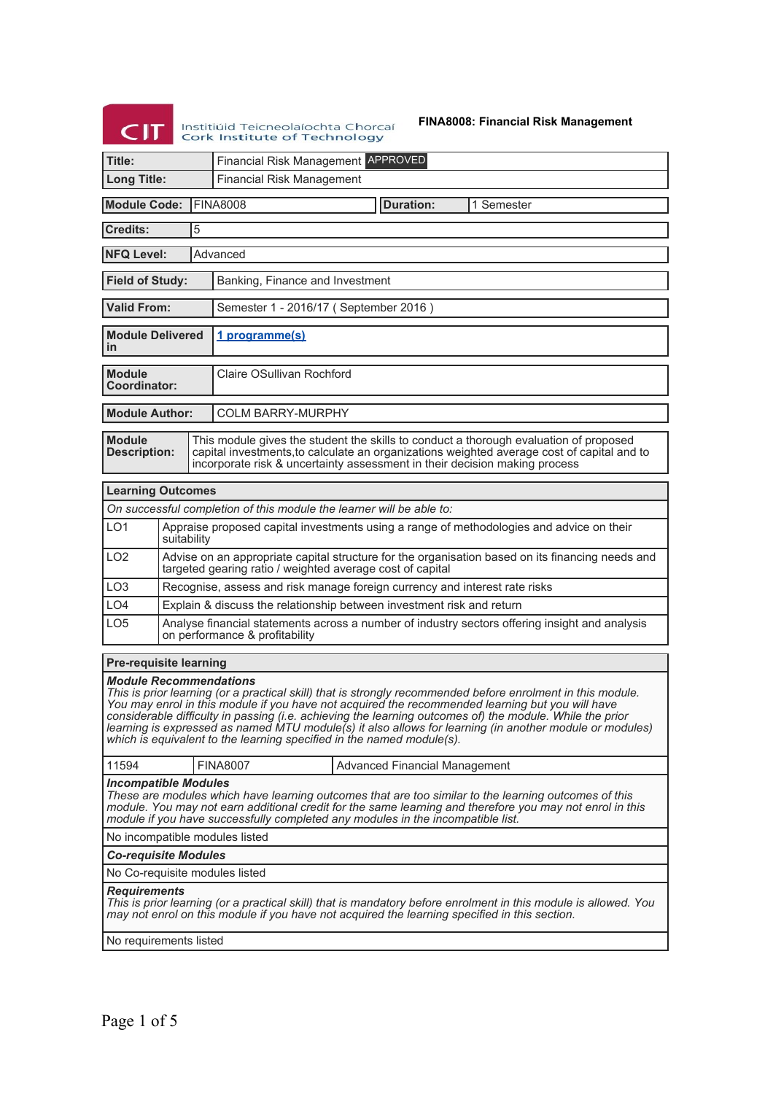# **CIT** Institiúid Teicneolaíochta Chorcaí<br>Cork Institute of Technology

**FINA8008: Financial Risk Management**

| Cork institute of Technology                                                                                                                                                                                                                                                                                                                                                                                                                                                                                                                     |                               |                                                                                                                                                               |                                                                                                                                                                                                                                                                   |                                                                            |  |  |  |
|--------------------------------------------------------------------------------------------------------------------------------------------------------------------------------------------------------------------------------------------------------------------------------------------------------------------------------------------------------------------------------------------------------------------------------------------------------------------------------------------------------------------------------------------------|-------------------------------|---------------------------------------------------------------------------------------------------------------------------------------------------------------|-------------------------------------------------------------------------------------------------------------------------------------------------------------------------------------------------------------------------------------------------------------------|----------------------------------------------------------------------------|--|--|--|
| Title:                                                                                                                                                                                                                                                                                                                                                                                                                                                                                                                                           |                               |                                                                                                                                                               | Financial Risk Management APPROVED                                                                                                                                                                                                                                |                                                                            |  |  |  |
| <b>Long Title:</b>                                                                                                                                                                                                                                                                                                                                                                                                                                                                                                                               |                               |                                                                                                                                                               | <b>Financial Risk Management</b>                                                                                                                                                                                                                                  |                                                                            |  |  |  |
| <b>Module Code:</b><br><b>IFINA8008</b><br><b>Duration:</b><br>1 Semester                                                                                                                                                                                                                                                                                                                                                                                                                                                                        |                               |                                                                                                                                                               |                                                                                                                                                                                                                                                                   |                                                                            |  |  |  |
| 5<br><b>Credits:</b>                                                                                                                                                                                                                                                                                                                                                                                                                                                                                                                             |                               |                                                                                                                                                               |                                                                                                                                                                                                                                                                   |                                                                            |  |  |  |
|                                                                                                                                                                                                                                                                                                                                                                                                                                                                                                                                                  | <b>NFQ Level:</b><br>Advanced |                                                                                                                                                               |                                                                                                                                                                                                                                                                   |                                                                            |  |  |  |
| <b>Field of Study:</b>                                                                                                                                                                                                                                                                                                                                                                                                                                                                                                                           |                               |                                                                                                                                                               | Banking, Finance and Investment                                                                                                                                                                                                                                   |                                                                            |  |  |  |
| <b>Valid From:</b>                                                                                                                                                                                                                                                                                                                                                                                                                                                                                                                               |                               |                                                                                                                                                               | Semester 1 - 2016/17 (September 2016)                                                                                                                                                                                                                             |                                                                            |  |  |  |
| <b>Module Delivered</b><br>in                                                                                                                                                                                                                                                                                                                                                                                                                                                                                                                    |                               |                                                                                                                                                               | 1 programme(s)                                                                                                                                                                                                                                                    |                                                                            |  |  |  |
| <b>Module</b><br>Coordinator:                                                                                                                                                                                                                                                                                                                                                                                                                                                                                                                    |                               |                                                                                                                                                               | <b>Claire OSullivan Rochford</b>                                                                                                                                                                                                                                  |                                                                            |  |  |  |
| <b>Module Author:</b>                                                                                                                                                                                                                                                                                                                                                                                                                                                                                                                            |                               |                                                                                                                                                               | <b>COLM BARRY-MURPHY</b>                                                                                                                                                                                                                                          |                                                                            |  |  |  |
| <b>Module</b><br><b>Description:</b>                                                                                                                                                                                                                                                                                                                                                                                                                                                                                                             |                               |                                                                                                                                                               | This module gives the student the skills to conduct a thorough evaluation of proposed<br>capital investments, to calculate an organizations weighted average cost of capital and to<br>incorporate risk & uncertainty assessment in their decision making process |                                                                            |  |  |  |
| <b>Learning Outcomes</b>                                                                                                                                                                                                                                                                                                                                                                                                                                                                                                                         |                               |                                                                                                                                                               |                                                                                                                                                                                                                                                                   |                                                                            |  |  |  |
|                                                                                                                                                                                                                                                                                                                                                                                                                                                                                                                                                  |                               |                                                                                                                                                               |                                                                                                                                                                                                                                                                   | On successful completion of this module the learner will be able to:       |  |  |  |
| LO <sub>1</sub>                                                                                                                                                                                                                                                                                                                                                                                                                                                                                                                                  | suitability                   |                                                                                                                                                               | Appraise proposed capital investments using a range of methodologies and advice on their                                                                                                                                                                          |                                                                            |  |  |  |
| LO <sub>2</sub>                                                                                                                                                                                                                                                                                                                                                                                                                                                                                                                                  |                               | Advise on an appropriate capital structure for the organisation based on its financing needs and<br>targeted gearing ratio / weighted average cost of capital |                                                                                                                                                                                                                                                                   |                                                                            |  |  |  |
| LO <sub>3</sub>                                                                                                                                                                                                                                                                                                                                                                                                                                                                                                                                  |                               |                                                                                                                                                               |                                                                                                                                                                                                                                                                   | Recognise, assess and risk manage foreign currency and interest rate risks |  |  |  |
| LO <sub>4</sub>                                                                                                                                                                                                                                                                                                                                                                                                                                                                                                                                  |                               |                                                                                                                                                               |                                                                                                                                                                                                                                                                   | Explain & discuss the relationship between investment risk and return      |  |  |  |
| LO <sub>5</sub>                                                                                                                                                                                                                                                                                                                                                                                                                                                                                                                                  |                               | Analyse financial statements across a number of industry sectors offering insight and analysis<br>on performance & profitability                              |                                                                                                                                                                                                                                                                   |                                                                            |  |  |  |
| <b>Pre-requisite learning</b>                                                                                                                                                                                                                                                                                                                                                                                                                                                                                                                    |                               |                                                                                                                                                               |                                                                                                                                                                                                                                                                   |                                                                            |  |  |  |
| <b>Module Recommendations</b><br>This is prior learning (or a practical skill) that is strongly recommended before enrolment in this module.<br>You may enrol in this module if you have not acquired the recommended learning but you will have<br>considerable difficulty in passing (i.e. achieving the learning outcomes of) the module. While the prior<br>learning is expressed as named MTU module(s) it also allows for learning (in another module or modules)<br>which is equivalent to the learning specified in the named module(s). |                               |                                                                                                                                                               |                                                                                                                                                                                                                                                                   |                                                                            |  |  |  |
| 11594                                                                                                                                                                                                                                                                                                                                                                                                                                                                                                                                            |                               |                                                                                                                                                               | <b>FINA8007</b>                                                                                                                                                                                                                                                   | Advanced Financial Management                                              |  |  |  |
| <b>Incompatible Modules</b><br>These are modules which have learning outcomes that are too similar to the learning outcomes of this<br>module. You may not earn additional credit for the same learning and therefore you may not enrol in this<br>module if you have successfully completed any modules in the incompatible list.                                                                                                                                                                                                               |                               |                                                                                                                                                               |                                                                                                                                                                                                                                                                   |                                                                            |  |  |  |
| No incompatible modules listed                                                                                                                                                                                                                                                                                                                                                                                                                                                                                                                   |                               |                                                                                                                                                               |                                                                                                                                                                                                                                                                   |                                                                            |  |  |  |
| <b>Co-requisite Modules</b>                                                                                                                                                                                                                                                                                                                                                                                                                                                                                                                      |                               |                                                                                                                                                               |                                                                                                                                                                                                                                                                   |                                                                            |  |  |  |
|                                                                                                                                                                                                                                                                                                                                                                                                                                                                                                                                                  |                               |                                                                                                                                                               | No Co-requisite modules listed                                                                                                                                                                                                                                    |                                                                            |  |  |  |
| <b>Requirements</b><br>This is prior learning (or a practical skill) that is mandatory before enrolment in this module is allowed. You<br>may not enrol on this module if you have not acquired the learning specified in this section.                                                                                                                                                                                                                                                                                                          |                               |                                                                                                                                                               |                                                                                                                                                                                                                                                                   |                                                                            |  |  |  |
| No requirements listed                                                                                                                                                                                                                                                                                                                                                                                                                                                                                                                           |                               |                                                                                                                                                               |                                                                                                                                                                                                                                                                   |                                                                            |  |  |  |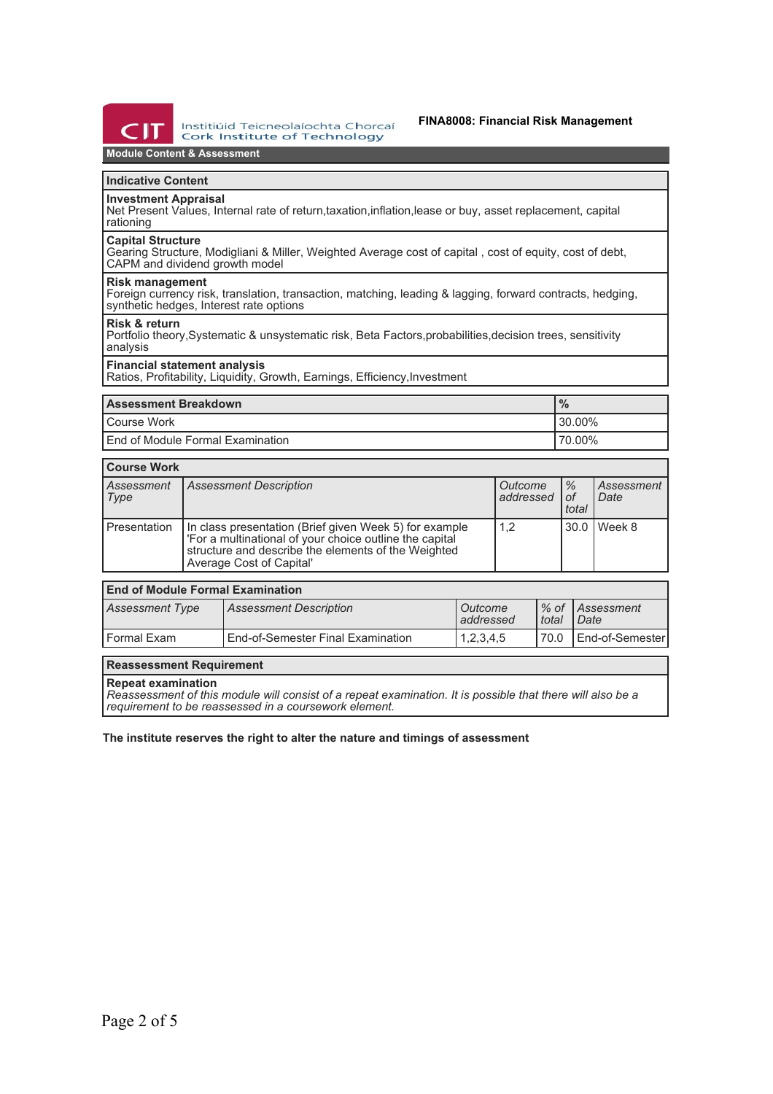

Institiúid Teicneolaíochta Chorcaí **Cork Institute of Technology** 

## **Module Content & Assessment**

## **Indicative Content**

**Investment Appraisal**

Net Present Values, Internal rate of return,taxation,inflation,lease or buy, asset replacement, capital rationing

#### **Capital Structure**

Gearing Structure, Modigliani & Miller, Weighted Average cost of capital , cost of equity, cost of debt, CAPM and dividend growth model

#### **Risk management**

Foreign currency risk, translation, transaction, matching, leading & lagging, forward contracts, hedging, synthetic hedges, Interest rate options

#### **Risk & return**

 $\overline{ }$ 

Portfolio theory,Systematic & unsystematic risk, Beta Factors,probabilities,decision trees, sensitivity analysis

## **Financial statement analysis**

Ratios, Profitability, Liquidity, Growth, Earnings, Efficiency, Investment

| <b>Assessment Breakdown</b>        | $\frac{9}{6}$ |
|------------------------------------|---------------|
| Course Work                        | $130.00\%$    |
| I End of Module Formal Examination | $'70.00\%$    |

| <b>Course Work</b> |                                                                                                                                                                                                     |                      |                                |                    |  |
|--------------------|-----------------------------------------------------------------------------------------------------------------------------------------------------------------------------------------------------|----------------------|--------------------------------|--------------------|--|
| Assessment<br>Type | Assessment Description                                                                                                                                                                              | Outcome<br>addressed | $\frac{9}{6}$<br>l of<br>total | Assessment<br>Date |  |
| l Presentation     | In class presentation (Brief given Week 5) for example<br>'For a multinational of your choice outline the capital<br>structure and describe the elements of the Weighted<br>Average Cost of Capital | 1.2                  |                                | 30.0   Week 8      |  |

## **End of Module Formal Examination**

| Assessment Type | <b>Assessment Description</b>            | Outcome<br>l addressed | I total | 1% of LAssessment<br>I Date |
|-----------------|------------------------------------------|------------------------|---------|-----------------------------|
| l Formal Exam   | <b>End-of-Semester Final Examination</b> | 1,2,3,4,5              | 70.0    | I End-of-Semester           |

## **Reassessment Requirement**

### **Repeat examination**

*Reassessment of this module will consist of a repeat examination. It is possible that there will also be a requirement to be reassessed in a coursework element.*

### **The institute reserves the right to alter the nature and timings of assessment**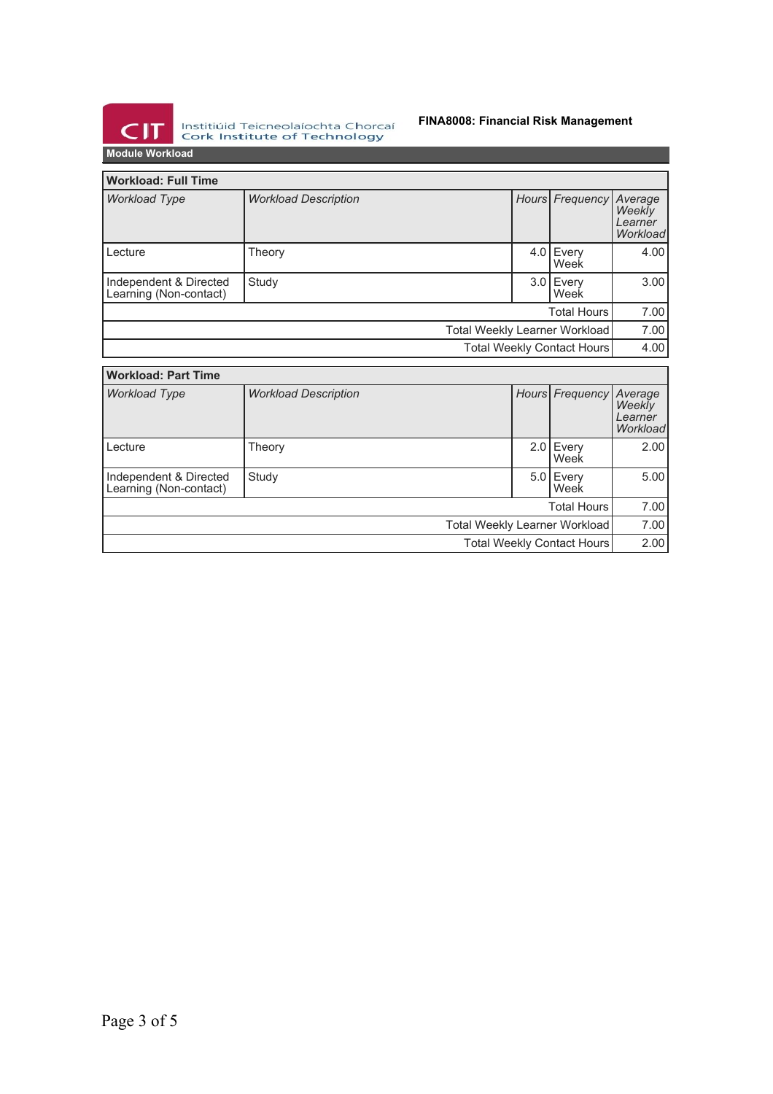

Institiúid Teicneolaíochta Chorcaí<br>Cork Institute of Technology

## **FINA8008: Financial Risk Management**

**Module Workload**

| <b>Workload: Full Time</b>                       |                             |  |                    |                     |                                          |
|--------------------------------------------------|-----------------------------|--|--------------------|---------------------|------------------------------------------|
| <b>Workload Type</b>                             | <b>Workload Description</b> |  |                    | Hours Frequency     | Average<br>Weekly<br>Learner<br>Workload |
| Lecture                                          | Theory                      |  |                    | $4.0$ Every<br>Week | 4.00                                     |
| Independent & Directed<br>Learning (Non-contact) | Study                       |  |                    | $3.0$ Every<br>Week | 3.00                                     |
|                                                  |                             |  | <b>Total Hours</b> |                     | 7.00                                     |
| Total Weekly Learner Workload                    |                             |  |                    |                     | 7.00                                     |
| Total Weekly Contact Hours                       |                             |  |                    | 4.00                |                                          |
| <b>Workload: Part Time</b>                       |                             |  |                    |                     |                                          |
| <b>Workload Type</b>                             | <b>Workload Description</b> |  |                    | Hours Frequency     | Average<br>Weekly<br>Learner<br>Workload |
| Lecture                                          | Theory                      |  | 2.0                | Every<br>Week       | 2.00                                     |
| Independent & Directed<br>Learning (Non-contact) | Study                       |  |                    | $5.0$ Every<br>Week | 5.00                                     |
|                                                  |                             |  |                    | <b>Total Hours</b>  | 7.00                                     |
| Total Weekly Learner Workload                    |                             |  |                    |                     | 7.00                                     |
| Total Weekly Contact Hours                       |                             |  |                    | 2.00                |                                          |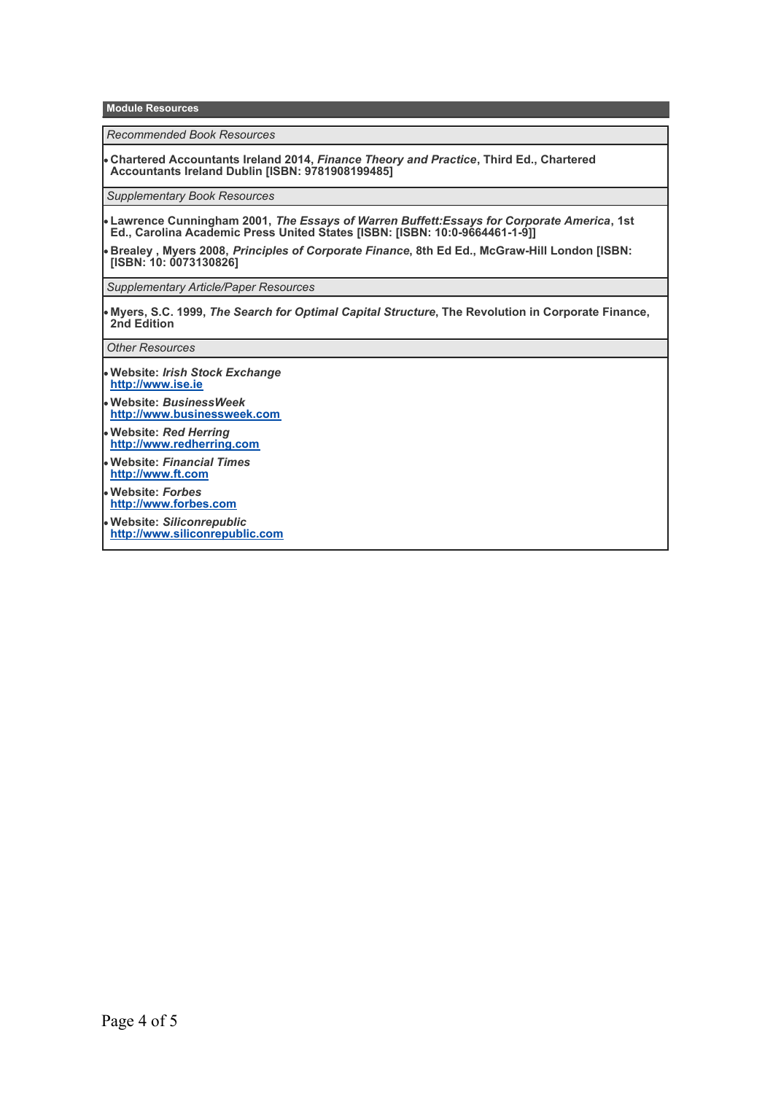**Module Resources**

*Recommended Book Resources*

**Chartered Accountants Ireland 2014,** *Finance Theory and Practice***, Third Ed., Chartered Accountants Ireland Dublin [ISBN: 9781908199485]**

*Supplementary Book Resources*

**Lawrence Cunningham 2001,** *The Essays of Warren Buffett:Essays for Corporate America***, 1st Ed., Carolina Academic Press United States [ISBN: [ISBN: 10:0-9664461-1-9]]**

**Brealey , Myers 2008,** *Principles of Corporate Finance***, 8th Ed Ed., McGraw-Hill London [ISBN: [ISBN: 10: 0073130826]**

*Supplementary Article/Paper Resources*

**Myers, S.C. 1999,** *The Search for Optimal Capital Structure***, The Revolution in Corporate Finance, 2nd Edition**

*Other Resources*

- **Website:** *Irish Stock Exchange* **<http://www.ise.ie>**
- **Website:** *BusinessWeek* **<http://www.businessweek.com>**
- **Website:** *Red Herring* **<http://www.redherring.com>**
- **Website:** *Financial Times* **<http://www.ft.com>**
- **Website:** *Forbes* **<http://www.forbes.com>**

**Website:** *Siliconrepublic* **<http://www.siliconrepublic.com>**